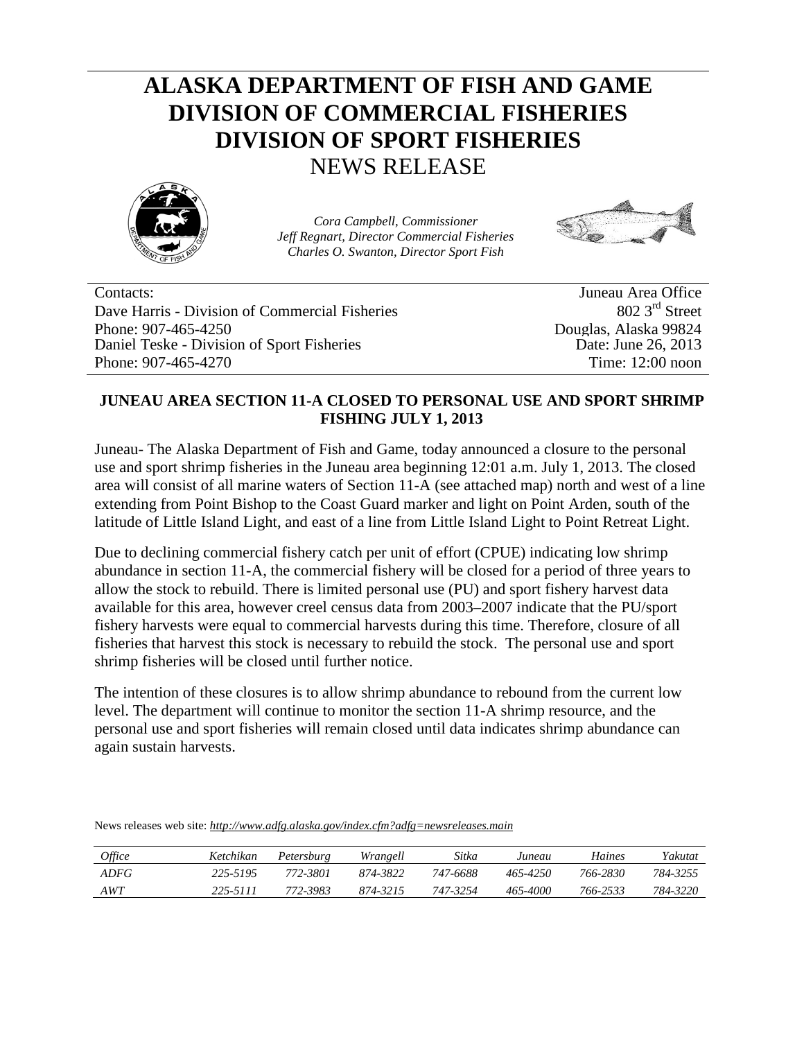## **ALASKA DEPARTMENT OF FISH AND GAME DIVISION OF COMMERCIAL FISHERIES DIVISION OF SPORT FISHERIES**  NEWS RELEASE



*Cora Campbell, Commissioner Jeff Regnart, Director Commercial Fisheries Charles O. Swanton, Director Sport Fish*



Contacts: Juneau Area Office Dave Harris - Division of Commercial Fisheries Phone: 907-465-4250 Daniel Teske - Division of Sport Fisheries Phone: 907-465-4270

802 3rd Street Douglas, Alaska 99824 Date: June 26, 2013 Time: 12:00 noon

## **JUNEAU AREA SECTION 11-A CLOSED TO PERSONAL USE AND SPORT SHRIMP FISHING JULY 1, 2013**

Juneau- The Alaska Department of Fish and Game, today announced a closure to the personal use and sport shrimp fisheries in the Juneau area beginning 12:01 a.m. July 1, 2013. The closed area will consist of all marine waters of Section 11-A (see attached map) north and west of a line extending from Point Bishop to the Coast Guard marker and light on Point Arden, south of the latitude of Little Island Light, and east of a line from Little Island Light to Point Retreat Light.

Due to declining commercial fishery catch per unit of effort (CPUE) indicating low shrimp abundance in section 11-A, the commercial fishery will be closed for a period of three years to allow the stock to rebuild. There is limited personal use (PU) and sport fishery harvest data available for this area, however creel census data from 2003–2007 indicate that the PU/sport fishery harvests were equal to commercial harvests during this time. Therefore, closure of all fisheries that harvest this stock is necessary to rebuild the stock. The personal use and sport shrimp fisheries will be closed until further notice.

The intention of these closures is to allow shrimp abundance to rebound from the current low level. The department will continue to monitor the section 11-A shrimp resource, and the personal use and sport fisheries will remain closed until data indicates shrimp abundance can again sustain harvests.

*Office Ketchikan Petersburg Wrangell Sitka Juneau Haines Yakutat ADFG 225-5195 772-3801 874-3822 747-6688 465-4250 766-2830 784-3255 AWT 225-5111 772-3983 874-3215 747-3254 465-4000 766-2533 784-3220*

News releases web site: *<http://www.adfg.alaska.gov/index.cfm?adfg=newsreleases.main>*